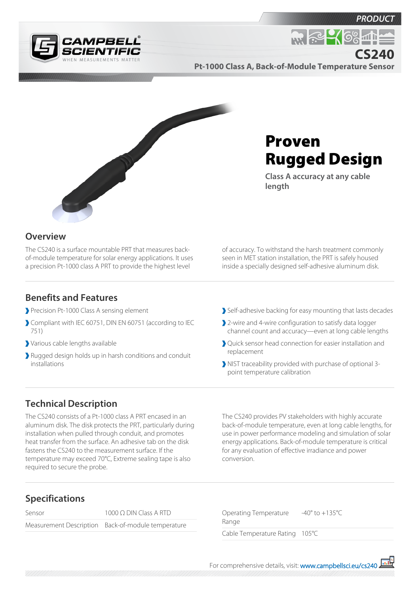



*PRODUC* 

**CS240**

**Pt-1000 Class A, Back-of-Module Temperature Sensor**



# Proven Rugged Design

**Class A accuracy at any cable length**

### **Overview**

The CS240 is a surface mountable PRT that measures backof-module temperature for solar energy applications. It uses a precision Pt-1000 class A PRT to provide the highest level

of accuracy. To withstand the harsh treatment commonly seen in MET station installation, the PRT is safely housed inside a specially designed self-adhesive aluminum disk.

#### **Benefits and Features**

- Precision Pt-1000 Class A sensing element
- Compliant with IEC 60751, DIN EN 60751 (according to IEC 751)
- Various cable lengths available
- Rugged design holds up in harsh conditions and conduit installations
- Self-adhesive backing for easy mounting that lasts decades
- 2-wire and 4-wire configuration to satisfy data logger channel count and accuracy—even at long cable lengths
- Quick sensor head connection for easier installation and replacement
- NIST traceability provided with purchase of optional 3 point temperature calibration

## **Technical Description**

The CS240 consists of a Pt-1000 class A PRT encased in an aluminum disk. The disk protects the PRT, particularly during installation when pulled through conduit, and promotes heat transfer from the surface. An adhesive tab on the disk fastens the CS240 to the measurement surface. If the temperature may exceed 70°C, Extreme sealing tape is also required to secure the probe.

The CS240 provides PV stakeholders with highly accurate back-of-module temperature, even at long cable lengths, for use in power performance modeling and simulation of solar energy applications. Back-of-module temperature is critical for any evaluation of effective irradiance and power conversion.

# **Specifications**

| Sensor | 1000 $\Omega$ DIN Class A RTD                      |
|--------|----------------------------------------------------|
|        | Measurement Description Back-of-module temperature |

Operating Temperature Range -40° to +135°C Cable Temperature Rating 105°C